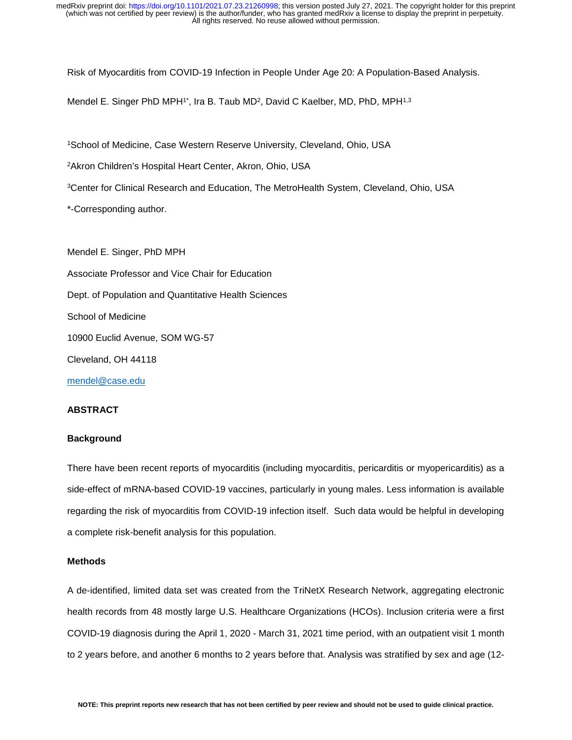Risk of Myocarditis from COVID-19 Infection in People Under Age 20: A Population-Based Analysis.

Mendel E. Singer PhD MPH<sup>1\*</sup>, Ira B. Taub MD<sup>2</sup>, David C Kaelber, MD, PhD, MPH<sup>1,3</sup>

1School of Medicine, Case Western Reserve University, Cleveland, Ohio, USA

2Akron Children's Hospital Heart Center, Akron, Ohio, USA

3Center for Clinical Research and Education, The MetroHealth System, Cleveland, Ohio, USA

\*-Corresponding author.

Mendel E. Singer, PhD MPH Associate Professor and Vice Chair for Education Dept. of Population and Quantitative Health Sciences School of Medicine 10900 Euclid Avenue, SOM WG-57 Cleveland, OH 44118 [mendel@case.edu](mailto:mendel@case.edu)

### **ABSTRACT**

### **Background**

There have been recent reports of myocarditis (including myocarditis, pericarditis or myopericarditis) as a side-effect of mRNA-based COVID-19 vaccines, particularly in young males. Less information is available regarding the risk of myocarditis from COVID-19 infection itself. Such data would be helpful in developing a complete risk-benefit analysis for this population.

## **Methods**

A de-identified, limited data set was created from the TriNetX Research Network, aggregating electronic health records from 48 mostly large U.S. Healthcare Organizations (HCOs). Inclusion criteria were a first COVID-19 diagnosis during the April 1, 2020 - March 31, 2021 time period, with an outpatient visit 1 month to 2 years before, and another 6 months to 2 years before that. Analysis was stratified by sex and age (12-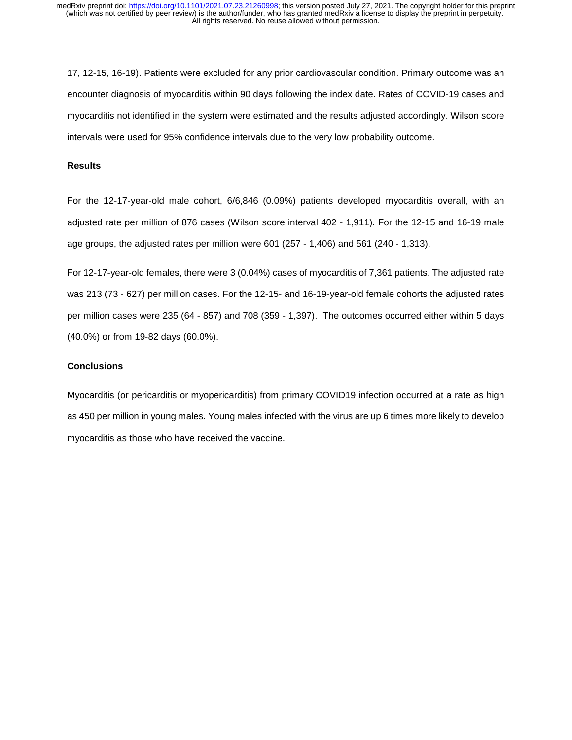17, 12-15, 16-19). Patients were excluded for any prior cardiovascular condition. Primary outcome was an encounter diagnosis of myocarditis within 90 days following the index date. Rates of COVID-19 cases and myocarditis not identified in the system were estimated and the results adjusted accordingly. Wilson score intervals were used for 95% confidence intervals due to the very low probability outcome.

### **Results**

For the 12-17-year-old male cohort, 6/6,846 (0.09%) patients developed myocarditis overall, with an adjusted rate per million of 876 cases (Wilson score interval 402 - 1,911). For the 12-15 and 16-19 male age groups, the adjusted rates per million were 601 (257 - 1,406) and 561 (240 - 1,313).

For 12-17-year-old females, there were 3 (0.04%) cases of myocarditis of 7,361 patients. The adjusted rate was 213 (73 - 627) per million cases. For the 12-15- and 16-19-year-old female cohorts the adjusted rates per million cases were 235 (64 - 857) and 708 (359 - 1,397). The outcomes occurred either within 5 days (40.0%) or from 19-82 days (60.0%).

## **Conclusions**

Myocarditis (or pericarditis or myopericarditis) from primary COVID19 infection occurred at a rate as high as 450 per million in young males. Young males infected with the virus are up 6 times more likely to develop myocarditis as those who have received the vaccine.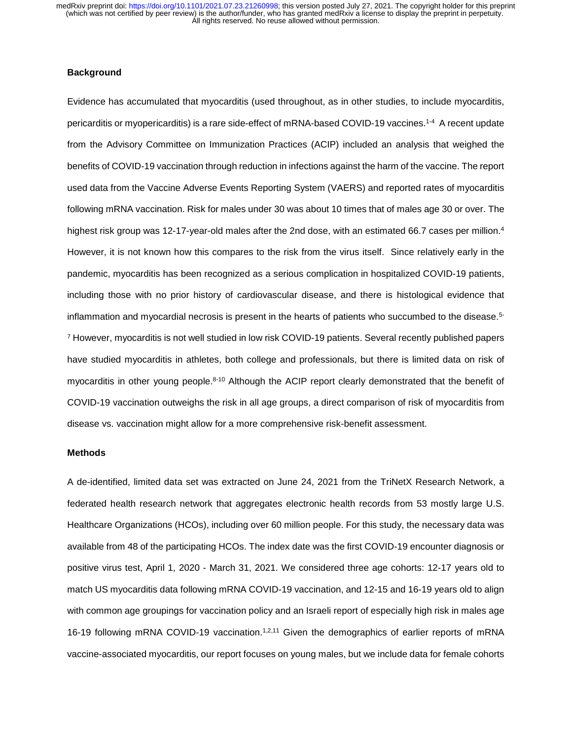## **Background**

Evidence has accumulated that myocarditis (used throughout, as in other studies, to include myocarditis, pericarditis or myopericarditis) is a rare side-effect of mRNA-based COVID-19 vaccines.<sup>1-4</sup> A recent update from the Advisory Committee on Immunization Practices (ACIP) included an analysis that weighed the benefits of COVID-19 vaccination through reduction in infections against the harm of the vaccine. The report used data from the Vaccine Adverse Events Reporting System (VAERS) and reported rates of myocarditis following mRNA vaccination. Risk for males under 30 was about 10 times that of males age 30 or over. The highest risk group was 12-17-year-old males after the 2nd dose, with an estimated 66.7 cases per million.<sup>4</sup> However, it is not known how this compares to the risk from the virus itself. Since relatively early in the pandemic, myocarditis has been recognized as a serious complication in hospitalized COVID-19 patients, including those with no prior history of cardiovascular disease, and there is histological evidence that inflammation and myocardial necrosis is present in the hearts of patients who succumbed to the disease. 5- <sup>7</sup> However, myocarditis is not well studied in low risk COVID-19 patients. Several recently published papers have studied myocarditis in athletes, both college and professionals, but there is limited data on risk of myocarditis in other young people.<sup>8-10</sup> Although the ACIP report clearly demonstrated that the benefit of COVID-19 vaccination outweighs the risk in all age groups, a direct comparison of risk of myocarditis from disease vs. vaccination might allow for a more comprehensive risk-benefit assessment.

#### **Methods**

A de-identified, limited data set was extracted on June 24, 2021 from the TriNetX Research Network, a federated health research network that aggregates electronic health records from 53 mostly large U.S. Healthcare Organizations (HCOs), including over 60 million people. For this study, the necessary data was available from 48 of the participating HCOs. The index date was the first COVID-19 encounter diagnosis or positive virus test, April 1, 2020 - March 31, 2021. We considered three age cohorts: 12-17 years old to match US myocarditis data following mRNA COVID-19 vaccination, and 12-15 and 16-19 years old to align with common age groupings for vaccination policy and an Israeli report of especially high risk in males age 16-19 following mRNA COVID-19 vaccination.<sup>1,2,11</sup> Given the demographics of earlier reports of mRNA vaccine-associated myocarditis, our report focuses on young males, but we include data for female cohorts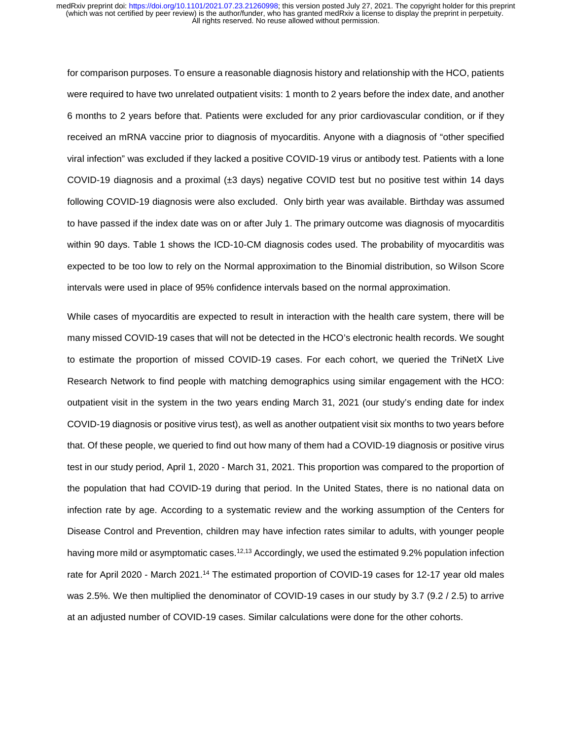for comparison purposes. To ensure a reasonable diagnosis history and relationship with the HCO, patients were required to have two unrelated outpatient visits: 1 month to 2 years before the index date, and another 6 months to 2 years before that. Patients were excluded for any prior cardiovascular condition, or if they received an mRNA vaccine prior to diagnosis of myocarditis. Anyone with a diagnosis of "other specified viral infection" was excluded if they lacked a positive COVID-19 virus or antibody test. Patients with a lone COVID-19 diagnosis and a proximal (±3 days) negative COVID test but no positive test within 14 days following COVID-19 diagnosis were also excluded. Only birth year was available. Birthday was assumed to have passed if the index date was on or after July 1. The primary outcome was diagnosis of myocarditis within 90 days. Table 1 shows the ICD-10-CM diagnosis codes used. The probability of myocarditis was expected to be too low to rely on the Normal approximation to the Binomial distribution, so Wilson Score intervals were used in place of 95% confidence intervals based on the normal approximation.

While cases of myocarditis are expected to result in interaction with the health care system, there will be many missed COVID-19 cases that will not be detected in the HCO's electronic health records. We sought to estimate the proportion of missed COVID-19 cases. For each cohort, we queried the TriNetX Live Research Network to find people with matching demographics using similar engagement with the HCO: outpatient visit in the system in the two years ending March 31, 2021 (our study's ending date for index COVID-19 diagnosis or positive virus test), as well as another outpatient visit six months to two years before that. Of these people, we queried to find out how many of them had a COVID-19 diagnosis or positive virus test in our study period, April 1, 2020 - March 31, 2021. This proportion was compared to the proportion of the population that had COVID-19 during that period. In the United States, there is no national data on infection rate by age. According to a systematic review and the working assumption of the Centers for Disease Control and Prevention, children may have infection rates similar to adults, with younger people having more mild or asymptomatic cases.<sup>12,13</sup> Accordingly, we used the estimated 9.2% population infection rate for April 2020 - March 2021.14 The estimated proportion of COVID-19 cases for 12-17 year old males was 2.5%. We then multiplied the denominator of COVID-19 cases in our study by 3.7 (9.2 / 2.5) to arrive at an adjusted number of COVID-19 cases. Similar calculations were done for the other cohorts.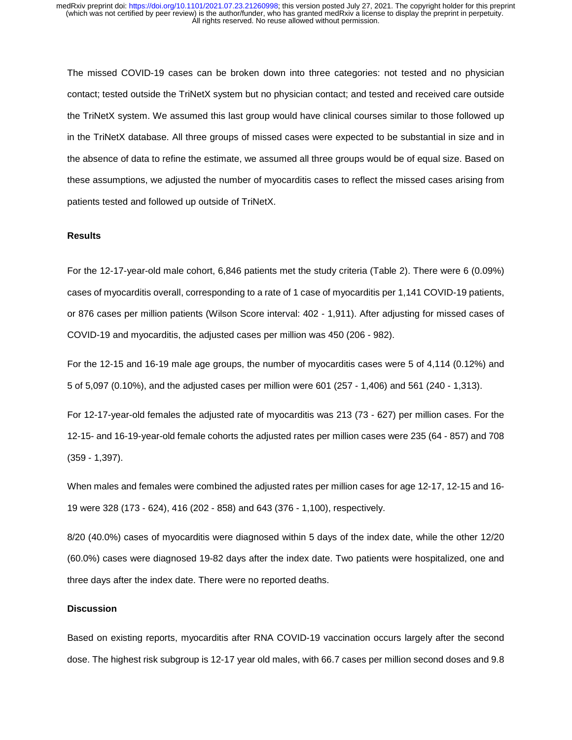The missed COVID-19 cases can be broken down into three categories: not tested and no physician contact; tested outside the TriNetX system but no physician contact; and tested and received care outside the TriNetX system. We assumed this last group would have clinical courses similar to those followed up in the TriNetX database. All three groups of missed cases were expected to be substantial in size and in the absence of data to refine the estimate, we assumed all three groups would be of equal size. Based on these assumptions, we adjusted the number of myocarditis cases to reflect the missed cases arising from patients tested and followed up outside of TriNetX.

### **Results**

For the 12-17-year-old male cohort, 6,846 patients met the study criteria (Table 2). There were 6 (0.09%) cases of myocarditis overall, corresponding to a rate of 1 case of myocarditis per 1,141 COVID-19 patients, or 876 cases per million patients (Wilson Score interval: 402 - 1,911). After adjusting for missed cases of COVID-19 and myocarditis, the adjusted cases per million was 450 (206 - 982).

For the 12-15 and 16-19 male age groups, the number of myocarditis cases were 5 of 4,114 (0.12%) and 5 of 5,097 (0.10%), and the adjusted cases per million were 601 (257 - 1,406) and 561 (240 - 1,313).

For 12-17-year-old females the adjusted rate of myocarditis was 213 (73 - 627) per million cases. For the 12-15- and 16-19-year-old female cohorts the adjusted rates per million cases were 235 (64 - 857) and 708 (359 - 1,397).

When males and females were combined the adjusted rates per million cases for age 12-17, 12-15 and 16- 19 were 328 (173 - 624), 416 (202 - 858) and 643 (376 - 1,100), respectively.

8/20 (40.0%) cases of myocarditis were diagnosed within 5 days of the index date, while the other 12/20 (60.0%) cases were diagnosed 19-82 days after the index date. Two patients were hospitalized, one and three days after the index date. There were no reported deaths.

### **Discussion**

Based on existing reports, myocarditis after RNA COVID-19 vaccination occurs largely after the second dose. The highest risk subgroup is 12-17 year old males, with 66.7 cases per million second doses and 9.8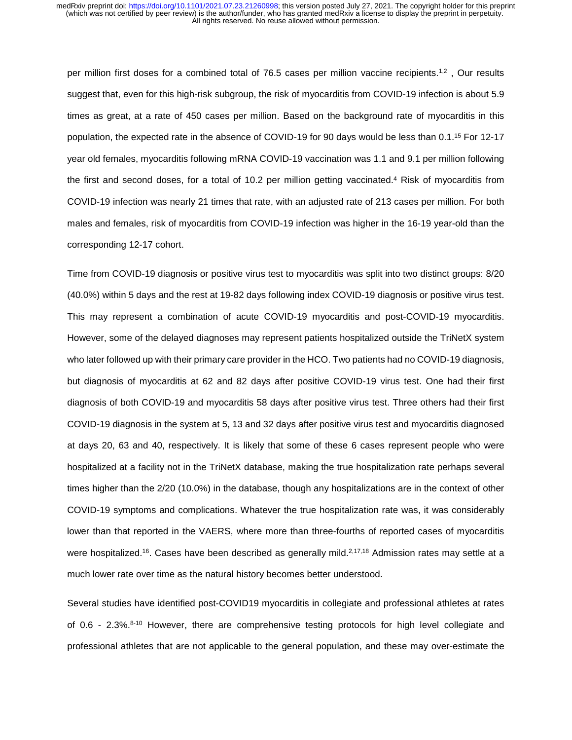per million first doses for a combined total of 76.5 cases per million vaccine recipients.<sup>1,2</sup>, Our results suggest that, even for this high-risk subgroup, the risk of myocarditis from COVID-19 infection is about 5.9 times as great, at a rate of 450 cases per million. Based on the background rate of myocarditis in this population, the expected rate in the absence of COVID-19 for 90 days would be less than 0.1.<sup>15</sup> For 12-17 year old females, myocarditis following mRNA COVID-19 vaccination was 1.1 and 9.1 per million following the first and second doses, for a total of 10.2 per million getting vaccinated.4 Risk of myocarditis from COVID-19 infection was nearly 21 times that rate, with an adjusted rate of 213 cases per million. For both males and females, risk of myocarditis from COVID-19 infection was higher in the 16-19 year-old than the corresponding 12-17 cohort.

Time from COVID-19 diagnosis or positive virus test to myocarditis was split into two distinct groups: 8/20 (40.0%) within 5 days and the rest at 19-82 days following index COVID-19 diagnosis or positive virus test. This may represent a combination of acute COVID-19 myocarditis and post-COVID-19 myocarditis. However, some of the delayed diagnoses may represent patients hospitalized outside the TriNetX system who later followed up with their primary care provider in the HCO. Two patients had no COVID-19 diagnosis, but diagnosis of myocarditis at 62 and 82 days after positive COVID-19 virus test. One had their first diagnosis of both COVID-19 and myocarditis 58 days after positive virus test. Three others had their first COVID-19 diagnosis in the system at 5, 13 and 32 days after positive virus test and myocarditis diagnosed at days 20, 63 and 40, respectively. It is likely that some of these 6 cases represent people who were hospitalized at a facility not in the TriNetX database, making the true hospitalization rate perhaps several times higher than the 2/20 (10.0%) in the database, though any hospitalizations are in the context of other COVID-19 symptoms and complications. Whatever the true hospitalization rate was, it was considerably lower than that reported in the VAERS, where more than three-fourths of reported cases of myocarditis were hospitalized.<sup>16</sup>. Cases have been described as generally mild.<sup>2,17,18</sup> Admission rates may settle at a much lower rate over time as the natural history becomes better understood.

Several studies have identified post-COVID19 myocarditis in collegiate and professional athletes at rates of 0.6 - 2.3%.<sup>8-10</sup> However, there are comprehensive testing protocols for high level collegiate and professional athletes that are not applicable to the general population, and these may over-estimate the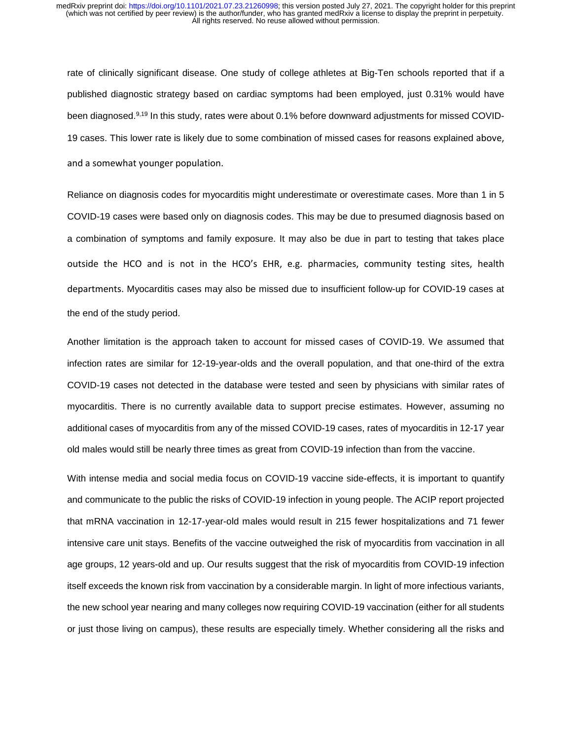rate of clinically significant disease. One study of college athletes at Big-Ten schools reported that if a published diagnostic strategy based on cardiac symptoms had been employed, just 0.31% would have been diagnosed.9,19 In this study, rates were about 0.1% before downward adjustments for missed COVID-19 cases. This lower rate is likely due to some combination of missed cases for reasons explained above, and a somewhat younger population.

Reliance on diagnosis codes for myocarditis might underestimate or overestimate cases. More than 1 in 5 COVID-19 cases were based only on diagnosis codes. This may be due to presumed diagnosis based on a combination of symptoms and family exposure. It may also be due in part to testing that takes place outside the HCO and is not in the HCO's EHR, e.g. pharmacies, community testing sites, health departments. Myocarditis cases may also be missed due to insufficient follow-up for COVID-19 cases at the end of the study period.

Another limitation is the approach taken to account for missed cases of COVID-19. We assumed that infection rates are similar for 12-19-year-olds and the overall population, and that one-third of the extra COVID-19 cases not detected in the database were tested and seen by physicians with similar rates of myocarditis. There is no currently available data to support precise estimates. However, assuming no additional cases of myocarditis from any of the missed COVID-19 cases, rates of myocarditis in 12-17 year old males would still be nearly three times as great from COVID-19 infection than from the vaccine.

With intense media and social media focus on COVID-19 vaccine side-effects, it is important to quantify and communicate to the public the risks of COVID-19 infection in young people. The ACIP report projected that mRNA vaccination in 12-17-year-old males would result in 215 fewer hospitalizations and 71 fewer intensive care unit stays. Benefits of the vaccine outweighed the risk of myocarditis from vaccination in all age groups, 12 years-old and up. Our results suggest that the risk of myocarditis from COVID-19 infection itself exceeds the known risk from vaccination by a considerable margin. In light of more infectious variants, the new school year nearing and many colleges now requiring COVID-19 vaccination (either for all students or just those living on campus), these results are especially timely. Whether considering all the risks and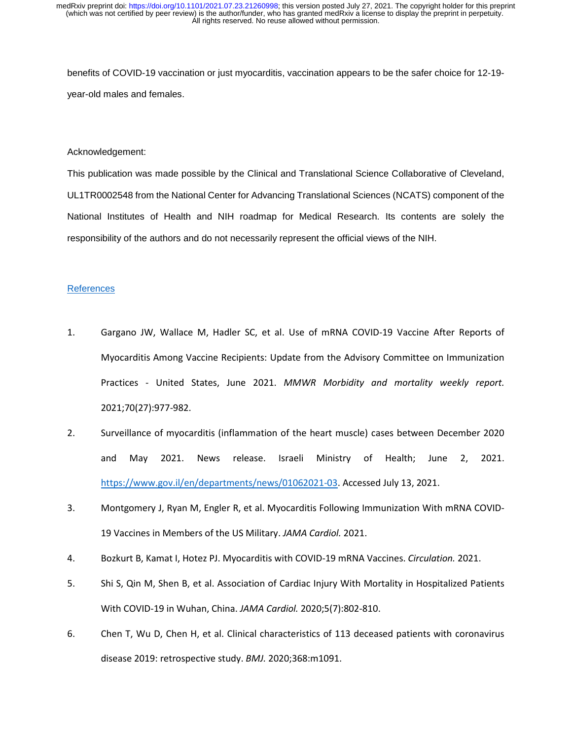benefits of COVID-19 vaccination or just myocarditis, vaccination appears to be the safer choice for 12-19 year-old males and females.

#### Acknowledgement:

This publication was made possible by the Clinical and Translational Science Collaborative of Cleveland, UL1TR0002548 from the National Center for Advancing Translational Sciences (NCATS) component of the National Institutes of Health and NIH roadmap for Medical Research. Its contents are solely the responsibility of the authors and do not necessarily represent the official views of the NIH.

#### **References**

- 1. Gargano JW, Wallace M, Hadler SC, et al. Use of mRNA COVID-19 Vaccine After Reports of Myocarditis Among Vaccine Recipients: Update from the Advisory Committee on Immunization Practices - United States, June 2021. *MMWR Morbidity and mortality weekly report.*  2021;70(27):977-982.
- 2. Surveillance of myocarditis (inflammation of the heart muscle) cases between December 2020 and May 2021. News release. Israeli Ministry of Health; June 2, 2021. [https://www.gov.il/en/departments/news/01062021-03.](https://www.gov.il/en/departments/news/01062021-03) Accessed July 13, 2021.
- 3. Montgomery J, Ryan M, Engler R, et al. Myocarditis Following Immunization With mRNA COVID-19 Vaccines in Members of the US Military. *JAMA Cardiol.* 2021.
- 4. Bozkurt B, Kamat I, Hotez PJ. Myocarditis with COVID-19 mRNA Vaccines. *Circulation.* 2021.
- 5. Shi S, Qin M, Shen B, et al. Association of Cardiac Injury With Mortality in Hospitalized Patients With COVID-19 in Wuhan, China. *JAMA Cardiol.* 2020;5(7):802-810.
- 6. Chen T, Wu D, Chen H, et al. Clinical characteristics of 113 deceased patients with coronavirus disease 2019: retrospective study. *BMJ.* 2020;368:m1091.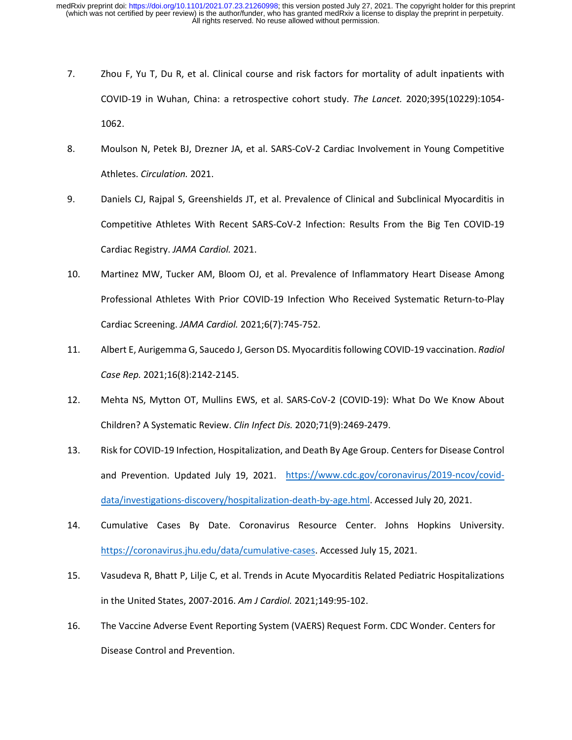- 7. Zhou F, Yu T, Du R, et al. Clinical course and risk factors for mortality of adult inpatients with COVID-19 in Wuhan, China: a retrospective cohort study. *The Lancet.* 2020;395(10229):1054- 1062.
- 8. Moulson N, Petek BJ, Drezner JA, et al. SARS-CoV-2 Cardiac Involvement in Young Competitive Athletes. *Circulation.* 2021.
- 9. Daniels CJ, Rajpal S, Greenshields JT, et al. Prevalence of Clinical and Subclinical Myocarditis in Competitive Athletes With Recent SARS-CoV-2 Infection: Results From the Big Ten COVID-19 Cardiac Registry. *JAMA Cardiol.* 2021.
- 10. Martinez MW, Tucker AM, Bloom OJ, et al. Prevalence of Inflammatory Heart Disease Among Professional Athletes With Prior COVID-19 Infection Who Received Systematic Return-to-Play Cardiac Screening. *JAMA Cardiol.* 2021;6(7):745-752.
- 11. Albert E, Aurigemma G, Saucedo J, Gerson DS. Myocarditis following COVID-19 vaccination. *Radiol Case Rep.* 2021;16(8):2142-2145.
- 12. Mehta NS, Mytton OT, Mullins EWS, et al. SARS-CoV-2 (COVID-19): What Do We Know About Children? A Systematic Review. *Clin Infect Dis.* 2020;71(9):2469-2479.
- 13. Risk for COVID-19 Infection, Hospitalization, and Death By Age Group. Centers for Disease Control and Prevention. Updated July 19, 2021. [https://www.cdc.gov/coronavirus/2019-ncov/covid](https://www.cdc.gov/coronavirus/2019-ncov/covid-data/investigations-discovery/hospitalization-death-by-age.html)[data/investigations-discovery/hospitalization-death-by-age.html.](https://www.cdc.gov/coronavirus/2019-ncov/covid-data/investigations-discovery/hospitalization-death-by-age.html) Accessed July 20, 2021.
- 14. Cumulative Cases By Date. Coronavirus Resource Center. Johns Hopkins University. [https://coronavirus.jhu.edu/data/cumulative-cases.](https://coronavirus.jhu.edu/data/cumulative-cases) Accessed July 15, 2021.
- 15. Vasudeva R, Bhatt P, Lilje C, et al. Trends in Acute Myocarditis Related Pediatric Hospitalizations in the United States, 2007-2016. *Am J Cardiol.* 2021;149:95-102.
- 16. The Vaccine Adverse Event Reporting System (VAERS) Request Form. CDC Wonder. Centers for Disease Control and Prevention.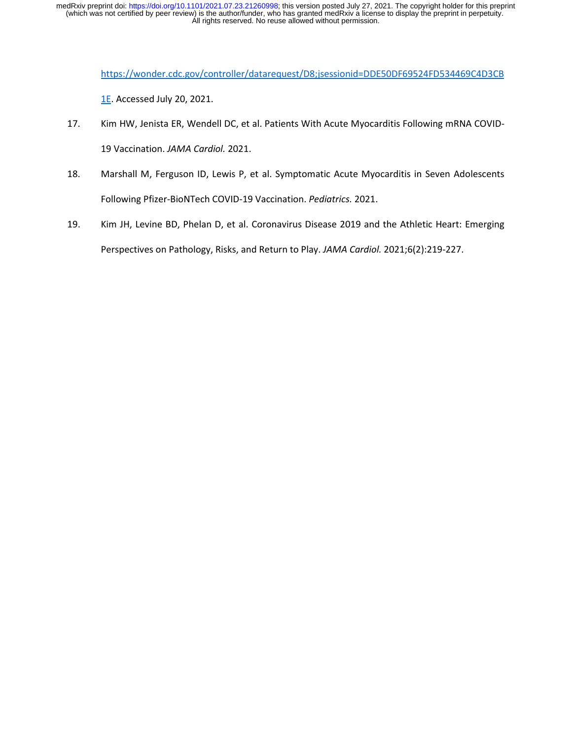[https://wonder.cdc.gov/controller/datarequest/D8;jsessionid=DDE50DF69524FD534469C4D3CB](https://wonder.cdc.gov/controller/datarequest/D8;jsessionid=DDE50DF69524FD534469C4D3CB1E)

[1E.](https://wonder.cdc.gov/controller/datarequest/D8;jsessionid=DDE50DF69524FD534469C4D3CB1E) Accessed July 20, 2021.

- 17. Kim HW, Jenista ER, Wendell DC, et al. Patients With Acute Myocarditis Following mRNA COVID-19 Vaccination. *JAMA Cardiol.* 2021.
- 18. Marshall M, Ferguson ID, Lewis P, et al. Symptomatic Acute Myocarditis in Seven Adolescents Following Pfizer-BioNTech COVID-19 Vaccination. *Pediatrics.* 2021.
- 19. Kim JH, Levine BD, Phelan D, et al. Coronavirus Disease 2019 and the Athletic Heart: Emerging Perspectives on Pathology, Risks, and Return to Play. *JAMA Cardiol.* 2021;6(2):219-227.